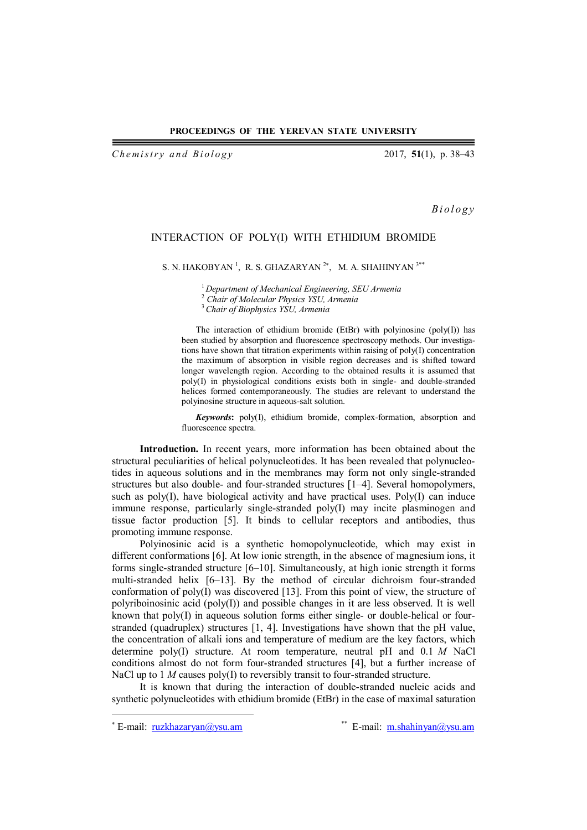## **PROCEEDINGS OF THE YEREVAN STATE UNIVERSITY**

*Chemistry and Biology* 2017, **51**(1), p. 38–43

*B i o l o g y*

## INTERACTION OF POLY(I) WITH ETHIDIUM BROMIDE

S. N. HAKOBYAN<sup>1</sup>, R. S. GHAZARYAN<sup>2\*</sup>, M. A. SHAHINYAN<sup>3\*\*</sup>

<sup>1</sup> *Department of Mechanical Engineering, SEU Armenia*

<sup>2</sup> *Chair of Molecular Physics YSU, Armenia*

<sup>3</sup>*Chair of Biophysics YSU, Armenia*

The interaction of ethidium bromide (EtBr) with polyinosine (poly(I)) has been studied by absorption and fluorescence spectroscopy methods. Our investigations have shown that titration experiments within raising of poly(I) concentration the maximum of absorption in visible region decreases and is shifted toward longer wavelength region. According to the obtained results it is assumed that poly(I) in physiological conditions exists both in single- and double-stranded helices formed contemporaneously. The studies are relevant to understand the polyinosine structure in aqueous-salt solution.

*Keywords***:** poly(I), ethidium bromide, complex-formation, absorption and fluorescence spectra.

**Introduction.** In recent years, more information has been obtained about the structural peculiarities of helical polynucleotides. It has been revealed that polynucleotides in aqueous solutions and in the membranes may form not only single-stranded structures but also double- and four-stranded structures [1–4]. Several homopolymers, such as  $poly(I)$ , have biological activity and have practical uses.  $Poly(I)$  can induce immune response, particularly single-stranded poly(I) may incite plasminogen and tissue factor production [5]. It binds to cellular receptors and antibodies, thus promoting immune response.

Polyinosinic acid is a synthetic homopolynucleotide, which may exist in different conformations [6]. At low ionic strength, in the absence of magnesium ions, it forms single-stranded structure [6–10]. Simultaneously, at high ionic strength it forms multi-stranded helix [6–13]. By the method of circular dichroism four-stranded conformation of poly(I) was discovered [13]. From this point of view, the structure of polyriboinosinic acid (poly(I)) and possible changes in it are less observed. It is well known that poly(I) in aqueous solution forms either single- or double-helical or fourstranded (quadruplex) structures [1, 4]. Investigations have shown that the pH value, the concentration of alkali ions and temperature of medium are the key factors, which determine poly(I) structure. At room temperature, neutral pH and 0.1 *M* NaCl conditions almost do not form four-stranded structures [4], but a further increase of NaCl up to 1 *M* causes poly(I) to reversibly transit to four-stranded structure.

It is known that during the interaction of double-stranded nucleic acids and synthetic polynucleotides with ethidium bromide (EtBr) in the case of maximal saturation

 $\overline{a}$ 

<sup>\*</sup> E-mail: ruzkhazaryan@ysu.am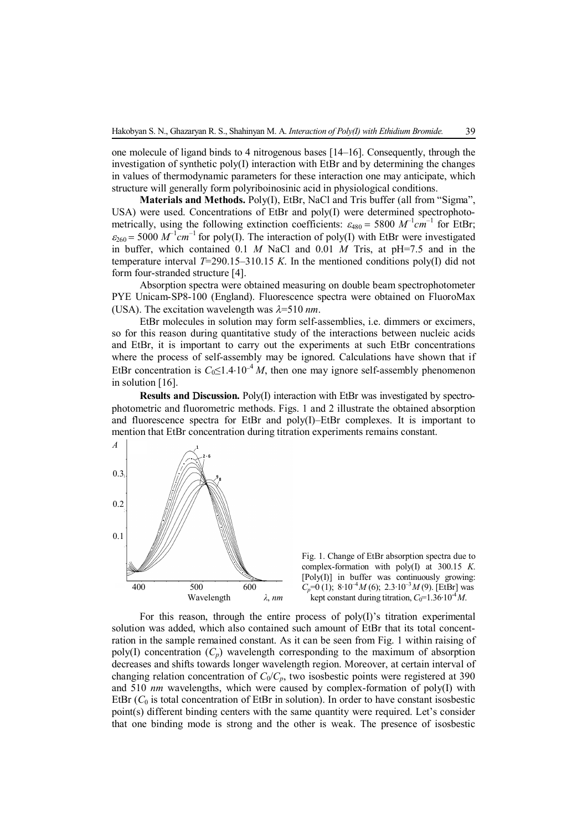one molecule of ligand binds to 4 nitrogenous bases  $[14–16]$ . Consequently, through the investigation of synthetic poly(I) interaction with EtBr and by determining the changes in values of thermodynamic parameters for these interaction one may anticipate, which structure will generally form polyriboinosinic acid in physiological conditions.

**Materials and Methods.** Poly(I), EtBr, NaCl and Tris buffer (all from "Sigma", USA) were used. Concentrations of EtBr and poly(I) were determined spectrophotometrically, using the following extinction coefficients:  $\varepsilon_{480} = 5800 \ M^{-1}cm^{-1}$  for EtBr;  $\varepsilon_{260}$  = 5000  $M^{-1}cm^{-1}$  for poly(I). The interaction of poly(I) with EtBr were investigated in buffer, which contained 0.1 *M* NaCl and 0.01 *M* Tris, at pH=7.5 and in the temperature interval  $T=290.15-310.15 K$ . In the mentioned conditions poly(I) did not form four-stranded structure [4].

Absorption spectra were obtained measuring on double beam spectrophotometer PYE Unicam-SP8-100 (England). Fluorescence spectra were obtained on FluoroMax (USA). The excitation wavelength was  $\lambda = 510 \text{ nm}$ .

EtBr molecules in solution may form self-assemblies, i.e. dimmers or excimers, so for this reason during quantitative study of the interactions between nucleic acids and EtBr, it is important to carry out the experiments at such EtBr concentrations where the process of self-assembly may be ignored. Calculations have shown that if EtBr concentration is  $C_0 \leq 1.4 \cdot 10^{-4} M$ , then one may ignore self-assembly phenomenon in solution [16].

**Results and Discussion.** Poly(I) interaction with EtBr was investigated by spectrophotometric and fluorometric methods. Figs. 1 and 2 illustrate the obtained absorption and fluorescence spectra for EtBr and poly(I)–EtBr complexes. It is important to mention that EtBr concentration during titration experiments remains constant.



Fig. 1. Change of EtBr absorption spectra due to complex-formation with poly(I) at 300.15 *K*. [Poly(I)] in buffer was continuously growing:  $C_p$ =0 (1); 8·10<sup>-4</sup> *M* (6); 2.3·10<sup>-3</sup> *M* (9). [EtBr] was kept constant during titration,  $C_0=1.36 \cdot 10^{-4} M$ .

For this reason, through the entire process of poly(I)'s titration experimental solution was added, which also contained such amount of EtBr that its total concentration in the sample remained constant. As it can be seen from Fig. 1 within raising of poly(I) concentration  $(C_p)$  wavelength corresponding to the maximum of absorption decreases and shifts towards longer wavelength region. Moreover, at certain interval of changing relation concentration of  $C_0/C_p$ , two isosbestic points were registered at 390 and 510 *nm* wavelengths, which were caused by complex-formation of poly(I) with EtBr  $(C_0)$  is total concentration of EtBr in solution). In order to have constant isosbestic point(s) different binding centers with the same quantity were required. Let's consider that one binding mode is strong and the other is weak. The presence of isosbestic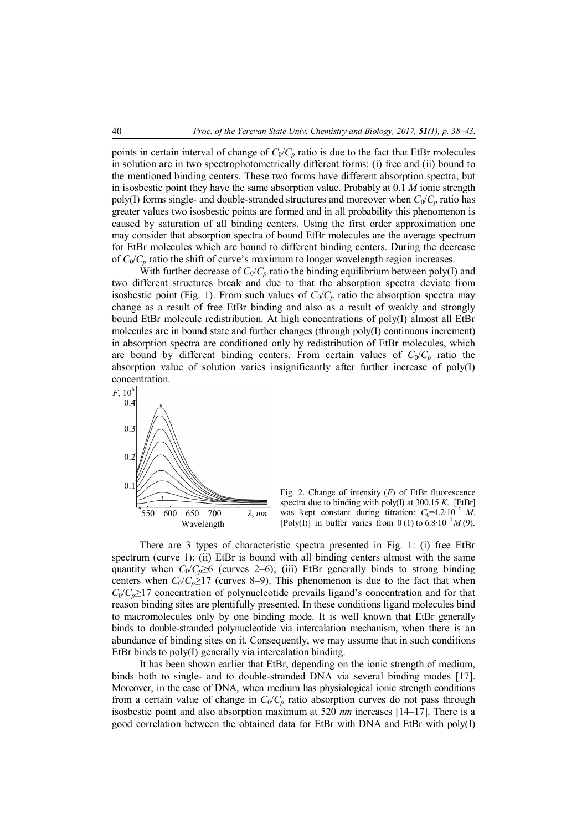points in certain interval of change of  $C_0/C_p$  ratio is due to the fact that EtBr molecules in solution are in two spectrophotometrically different forms: (i) free and (ii) bound to the mentioned binding centers. These two forms have different absorption spectra, but in isosbestic point they have the same absorption value. Probably at 0.1 *M* ionic strength poly(I) forms single- and double-stranded structures and moreover when  $C_0/C_p$  ratio has greater values two isosbestic points are formed and in all probability this phenomenon is caused by saturation of all binding centers. Using the first order approximation one may consider that absorption spectra of bound EtBr molecules are the average spectrum for EtBr molecules which are bound to different binding centers. During the decrease of  $C_0/C_p$  ratio the shift of curve's maximum to longer wavelength region increases.

With further decrease of  $C_0/C_p$  ratio the binding equilibrium between poly(I) and two different structures break and due to that the absorption spectra deviate from isosbestic point (Fig. 1). From such values of  $C_0/C_p$  ratio the absorption spectra may change as a result of free EtBr binding and also as a result of weakly and strongly bound EtBr molecule redistribution. At high concentrations of poly(I) almost all EtBr molecules are in bound state and further changes (through poly(I) continuous increment) in absorption spectra are conditioned only by redistribution of EtBr molecules, which are bound by different binding centers. From certain values of  $C_0/C_p$  ratio the absorption value of solution varies insignificantly after further increase of poly(I) concentration.



Fig. 2. Change of intensity (*F*) of EtBr fluorescence spectra due to binding with poly(I) at 300.15 *K*. [EtBr] was kept constant during titration:  $C_0=4.2\cdot10^{-5}$  *M*. [Poly(I)] in buffer varies from  $0(1)$  to  $6.8 \cdot 10^{-4} M(9)$ .

There are 3 types of characteristic spectra presented in Fig. 1: (i) free EtBr spectrum (curve 1); (ii) EtBr is bound with all binding centers almost with the same quantity when  $C_0/C_p \ge 6$  (curves 2–6); (iii) EtBr generally binds to strong binding centers when  $C_0/C_p \ge 17$  (curves 8–9). This phenomenon is due to the fact that when  $C_0/C_p \geq 17$  concentration of polynucleotide prevails ligand's concentration and for that reason binding sites are plentifully presented. In these conditions ligand molecules bind to macromolecules only by one binding mode. It is well known that EtBr generally binds to double-stranded polynucleotide via intercalation mechanism, when there is an abundance of binding sites on it. Consequently, we may assume that in such conditions EtBr binds to poly(I) generally via intercalation binding.

It has been shown earlier that EtBr, depending on the ionic strength of medium, binds both to single- and to double-stranded DNA via several binding modes [17]. Moreover, in the case of DNA, when medium has physiological ionic strength conditions from a certain value of change in  $C_0/C_p$  ratio absorption curves do not pass through isosbestic point and also absorption maximum at 520 *nm* increases [14–17]. There is a good correlation between the obtained data for EtBr with DNA and EtBr with poly(I)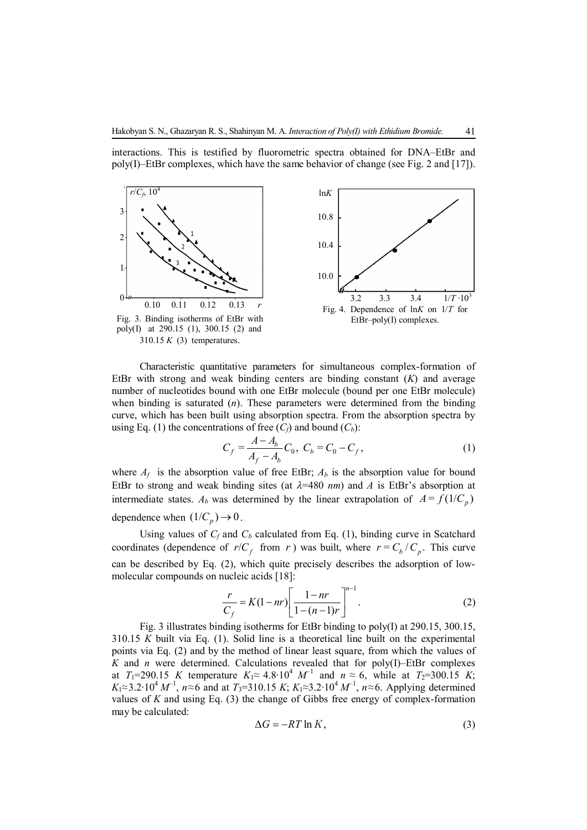interactions. This is testified by fluorometric spectra obtained for DNA–EtBr and poly(I)–EtBr complexes, which have the same behavior of change (see Fig. 2 and [17]).



Characteristic quantitative parameters for simultaneous complex-formation of EtBr with strong and weak binding centers are binding constant (*K*) and average number of nucleotides bound with one EtBr molecule (bound per one EtBr molecule) when binding is saturated (*n*). These parameters were determined from the binding curve, which has been built using absorption spectra. From the absorption spectra by using Eq. (1) the concentrations of free  $(C_f)$  and bound  $(C_b)$ :

$$
C_f = \frac{A - A_b}{A_f - A_b} C_0, \ C_b = C_0 - C_f,\tag{1}
$$

where  $A_f$  is the absorption value of free EtBr;  $A_b$  is the absorption value for bound EtBr to strong and weak binding sites (at  $\lambda = 480$  *nm*) and *A* is EtBr's absorption at intermediate states.  $A_b$  was determined by the linear extrapolation of  $A = f(1/C_p)$ dependence when  $(1/C_p) \rightarrow 0$ .

Using values of  $C_f$  and  $C_b$  calculated from Eq. (1), binding curve in Scatchard coordinates (dependence of  $r/C_f$  from *r*) was built, where  $r = C_b/C_p$ . This curve can be described by Eq. (2), which quite precisely describes the adsorption of lowmolecular compounds on nucleic acids [18]:

$$
\frac{r}{C_f} = K(1 - nr) \left[ \frac{1 - nr}{1 - (n - 1)r} \right]^{n-1}.
$$
 (2)

Fig. 3 illustrates binding isotherms for EtBr binding to poly(I) at 290.15, 300.15, 310.15 *K* built via Eq. (1). Solid line is a theoretical line built on the experimental points via Eq. (2) and by the method of linear least square, from which the values of  $K$  and  $n$  were determined. Calculations revealed that for poly(I)–EtBr complexes at *T*<sub>1</sub>=290.15 *K* temperature  $K_1 \approx 4.8 \cdot 10^4$  *M*<sup>-1</sup> and *n*  $\approx 6$ , while at *T*<sub>2</sub>=300.15 *K*; *K*<sub>1</sub>≈3.2⋅10<sup>4</sup> *M*<sup>-1</sup>, *n*≈6 and at *T*<sub>3</sub>=310.15 *K*; *K*<sub>1</sub>≈3.2⋅10<sup>4</sup> *M*<sup>-1</sup>, *n*≈6. Applying determined values of *K* and using Eq. (3) the change of Gibbs free energy of complex-formation may be calculated:

$$
\Delta G = -RT \ln K,\tag{3}
$$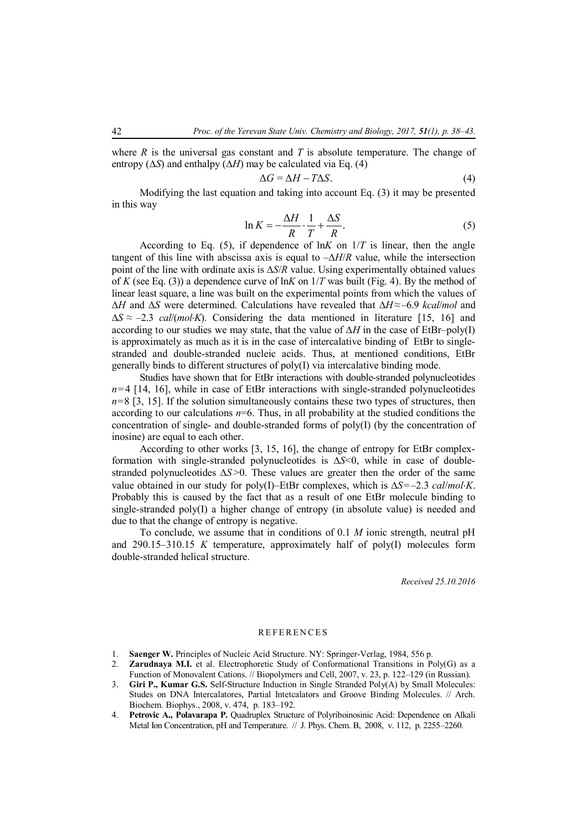where *R* is the universal gas constant and *T* is absolute temperature. The change of entropy (∆*S*) and enthalpy (∆*H*) may be calculated via Eq. (4)

$$
\Delta G = \Delta H - T \Delta S. \tag{4}
$$

Modifying the last equation and taking into account Eq. (3) it may be presented in this way

$$
\ln K = -\frac{\Delta H}{R} \cdot \frac{1}{T} + \frac{\Delta S}{R}.\tag{5}
$$

According to Eq. (5), if dependence of  $\ln K$  on  $1/T$  is linear, then the angle tangent of this line with abscissa axis is equal to –∆*H*/*R* value, while the intersection point of the line with ordinate axis is ∆*S*/*R* value. Using experimentally obtained values of *K* (see Eq. (3)) a dependence curve of  $\ln K$  on  $1/T$  was built (Fig. 4). By the method of linear least square, a line was built on the experimental points from which the values of ∆*H* and ∆*S* were determined. Calculations have revealed that ∆*H*≈–6.9 *kcal*/*mol* and ∆*S* ≈ –2.3 *cal*/(*molK*). Considering the data mentioned in literature [15, 16] and according to our studies we may state, that the value of ∆*H* in the case of EtBr–poly(I) is approximately as much as it is in the case of intercalative binding of EtBr to singlestranded and double-stranded nucleic acids. Thus, at mentioned conditions, EtBr generally binds to different structures of poly(I) via intercalative binding mode.

Studies have shown that for EtBr interactions with double-stranded polynucleotides  $n=4$  [14, 16], while in case of EtBr interactions with single-stranded polynucleotides  $n=8$  [3, 15]. If the solution simultaneously contains these two types of structures, then according to our calculations *n*=6. Thus, in all probability at the studied conditions the concentration of single- and double-stranded forms of poly(I) (by the concentration of inosine) are equal to each other.

According to other works [3, 15, 16], the change of entropy for EtBr complexformation with single-stranded polynucleotides is ∆*S*<0, while in case of doublestranded polynucleotides ∆*S* >0. These values are greater then the order of the same value obtained in our study for poly(I)–EtBr complexes, which is ∆*S*=–2.3 *cal*/*molK*. Probably this is caused by the fact that as a result of one EtBr molecule binding to single-stranded poly(I) a higher change of entropy (in absolute value) is needed and due to that the change of entropy is negative.

To conclude, we assume that in conditions of 0.1 *M* ionic strength, neutral pH and 290.15–310.15 *K* temperature, approximately half of poly(I) molecules form double-stranded helical structure.

*Received 25.10.2016*

## **REFERENCES**

- 1. **Saenger W.** Principles of Nucleic Acid Structure. NY: Springer-Verlag, 1984, 556 p.
- 2. **Zarudnaya M.I.** et al. Electrophoretic Study of Conformational Transitions in Poly(G) as a Function of Monovalent Cations. // Biopolymers and Cell, 2007, v. 23, p. 122–129 (in Russian).
- 3. **Giri P., Kumar G.S.** Self-Structure Induction in Single Stranded Poly(A) by Small Molecules: Studes on DNA Intercalatores, Partial Intetcalators and Groove Binding Molecules. // Arch. Biochem. Biophys., 2008, v. 474, p. 183–192.
- 4. **Petrovic A., Polavarapa P.** Quadruplex Structure of Polyriboinosinic Acid: Dependence on Alkali Metal Ion Concentration, pH and Temperature. // J. Phys. Chem. B, 2008, v. 112, p. 2255–2260.